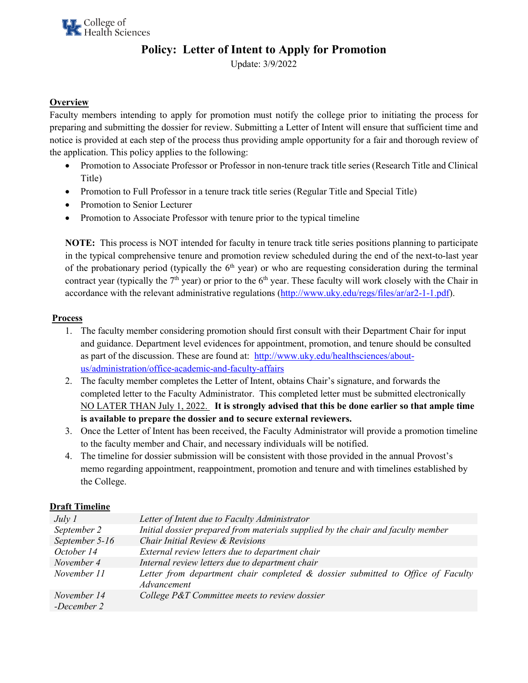# **Policy: Letter of Intent to Apply for Promotion**

Update: 3/9/2022

## **Overview**

Faculty members intending to apply for promotion must notify the college prior to initiating the process for preparing and submitting the dossier for review. Submitting a Letter of Intent will ensure that sufficient time and notice is provided at each step of the process thus providing ample opportunity for a fair and thorough review of the application. This policy applies to the following:

- Promotion to Associate Professor or Professor in non-tenure track title series (Research Title and Clinical Title)
- Promotion to Full Professor in a tenure track title series (Regular Title and Special Title)
- Promotion to Senior Lecturer
- Promotion to Associate Professor with tenure prior to the typical timeline

**NOTE:** This process is NOT intended for faculty in tenure track title series positions planning to participate in the typical comprehensive tenure and promotion review scheduled during the end of the next-to-last year of the probationary period (typically the  $6<sup>th</sup>$  year) or who are requesting consideration during the terminal contract year (typically the  $7<sup>th</sup>$  year) or prior to the  $6<sup>th</sup>$  year. These faculty will work closely with the Chair in accordance with the relevant administrative regulations [\(http://www.uky.edu/regs/files/ar/ar2-1-1.pdf\)](http://www.uky.edu/regs/files/ar/ar2-1-1.pdf).

### **Process**

- 1. The faculty member considering promotion should first consult with their Department Chair for input and guidance. Department level evidences for appointment, promotion, and tenure should be consulted as part of the discussion. These are found at: [http://www.uky.edu/healthsciences/about](http://www.uky.edu/healthsciences/about-us/administration/office-academic-and-faculty-affairs)[us/administration/office-academic-and-faculty-affairs](http://www.uky.edu/healthsciences/about-us/administration/office-academic-and-faculty-affairs)
- 2. The faculty member completes the Letter of Intent, obtains Chair's signature, and forwards the completed letter to the Faculty Administrator. This completed letter must be submitted electronically NO LATER THAN July 1, 2022. **It is strongly advised that this be done earlier so that ample time is available to prepare the dossier and to secure external reviewers.**
- 3. Once the Letter of Intent has been received, the Faculty Administrator will provide a promotion timeline to the faculty member and Chair, and necessary individuals will be notified.
- 4. The timeline for dossier submission will be consistent with those provided in the annual Provost's memo regarding appointment, reappointment, promotion and tenure and with timelines established by the College.

#### **Draft Timeline**

| July 1                     | Letter of Intent due to Faculty Administrator                                                     |
|----------------------------|---------------------------------------------------------------------------------------------------|
| September 2                | Initial dossier prepared from materials supplied by the chair and faculty member                  |
| September 5-16             | Chair Initial Review & Revisions                                                                  |
| October 14                 | External review letters due to department chair                                                   |
| November 4                 | Internal review letters due to department chair                                                   |
| November 11                | Letter from department chair completed $\&$ dossier submitted to Office of Faculty<br>Advancement |
| November 14<br>-December 2 | College P&T Committee meets to review dossier                                                     |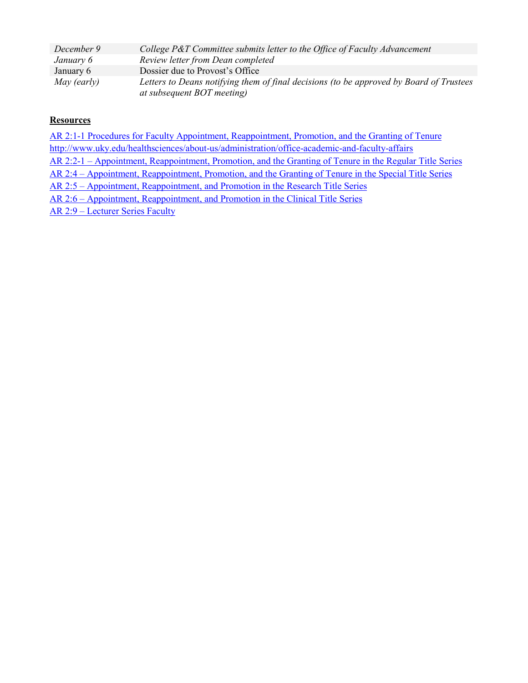| December 9  | College P&T Committee submits letter to the Office of Faculty Advancement               |
|-------------|-----------------------------------------------------------------------------------------|
| January 6   | Review letter from Dean completed                                                       |
| January 6   | Dossier due to Provost's Office                                                         |
| May (early) | Letters to Deans notifying them of final decisions (to be approved by Board of Trustees |
|             | at subsequent BOT meeting)                                                              |

### **Resources**

[AR 2:1-1 Procedures for Faculty Appointment, Reappointment, Promotion, and the Granting of Tenure](http://www.uky.edu/ofa/sites/www.uky.edu.ofa/files/uploads/ar2-1-1.pdf) <http://www.uky.edu/healthsciences/about-us/administration/office-academic-and-faculty-affairs> [AR 2:2-1 – Appointment, Reappointment, Promotion, and the Granting of Tenure in the Regular Title Series](http://www.uky.edu/regs/files/ar/ar2-2-1.pdf) [AR 2:4 – Appointment, Reappointment, Promotion, and the Granting of Tenure in the Special Title Series](http://www.uky.edu/regs/files/ar/ar2-4.pdf) [AR 2:5 – Appointment, Reappointment, and Promotion in the Research Title Series](http://www.uky.edu/regs/files/ar/ar2-5.pdf) [AR 2:6 – Appointment, Reappointment, and Promotion in the Clinical Title Series](http://www.uky.edu/regs/files/ar/ar2-6.pdf) [AR 2:9 – Lecturer Series Faculty](http://www.uky.edu/regs/files/ar/ar2-9.pdf)